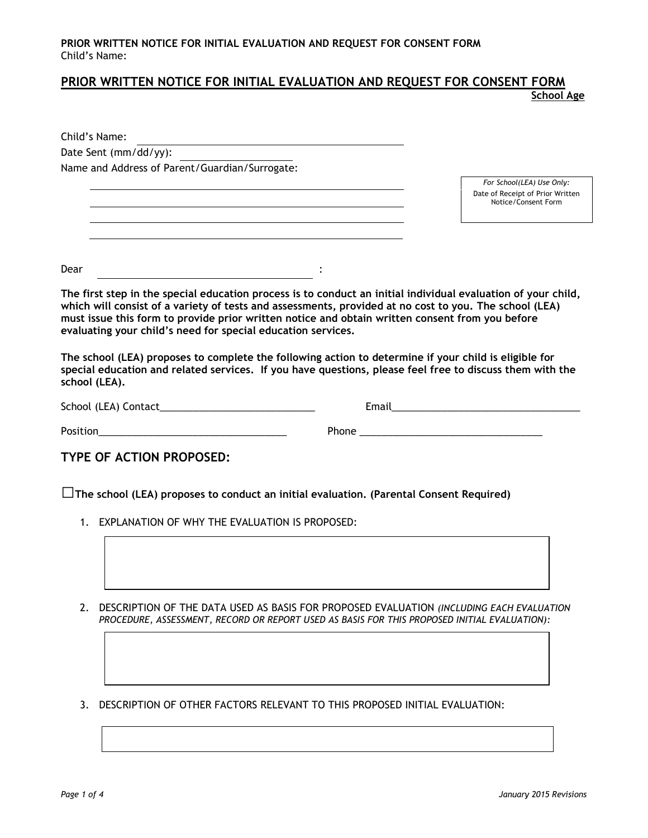# **PRIOR WRITTEN NOTICE FOR INITIAL EVALUATION AND REQUEST FOR CONSENT FORM**

**School Age**

| Child's Name:                                                                                                                                                                                                                        |                                                                                                                                                                                                                   |                                                         |
|--------------------------------------------------------------------------------------------------------------------------------------------------------------------------------------------------------------------------------------|-------------------------------------------------------------------------------------------------------------------------------------------------------------------------------------------------------------------|---------------------------------------------------------|
| Date Sent (mm/dd/yy):                                                                                                                                                                                                                |                                                                                                                                                                                                                   |                                                         |
| Name and Address of Parent/Guardian/Surrogate:                                                                                                                                                                                       |                                                                                                                                                                                                                   |                                                         |
|                                                                                                                                                                                                                                      |                                                                                                                                                                                                                   | For School(LEA) Use Only:                               |
|                                                                                                                                                                                                                                      |                                                                                                                                                                                                                   | Date of Receipt of Prior Written<br>Notice/Consent Form |
|                                                                                                                                                                                                                                      |                                                                                                                                                                                                                   |                                                         |
|                                                                                                                                                                                                                                      |                                                                                                                                                                                                                   |                                                         |
| Dear<br>$\overline{\phantom{a}}$                                                                                                                                                                                                     |                                                                                                                                                                                                                   |                                                         |
| evaluating your child's need for special education services.<br>school (LEA).                                                                                                                                                        | The school (LEA) proposes to complete the following action to determine if your child is eligible for<br>special education and related services. If you have questions, please feel free to discuss them with the |                                                         |
|                                                                                                                                                                                                                                      |                                                                                                                                                                                                                   |                                                         |
| Position <b>Provides and Contract Contract Contract Contract Contract Contract Contract Contract Contract Contract Contract Contract Contract Contract Contract Contract Contract Contract Contract Contract Contract Contract C</b> |                                                                                                                                                                                                                   |                                                         |
| TYPE OF ACTION PROPOSED:                                                                                                                                                                                                             |                                                                                                                                                                                                                   |                                                         |
|                                                                                                                                                                                                                                      | $\Box$ The school (LEA) proposes to conduct an initial evaluation. (Parental Consent Required)                                                                                                                    |                                                         |
| 1. EXPLANATION OF WHY THE EVALUATION IS PROPOSED:                                                                                                                                                                                    |                                                                                                                                                                                                                   |                                                         |

- 2. DESCRIPTION OF THE DATA USED AS BASIS FOR PROPOSED EVALUATION *(INCLUDING EACH EVALUATION PROCEDURE, ASSESSMENT, RECORD OR REPORT USED AS BASIS FOR THIS PROPOSED INITIAL EVALUATION):*
- 3. DESCRIPTION OF OTHER FACTORS RELEVANT TO THIS PROPOSED INITIAL EVALUATION: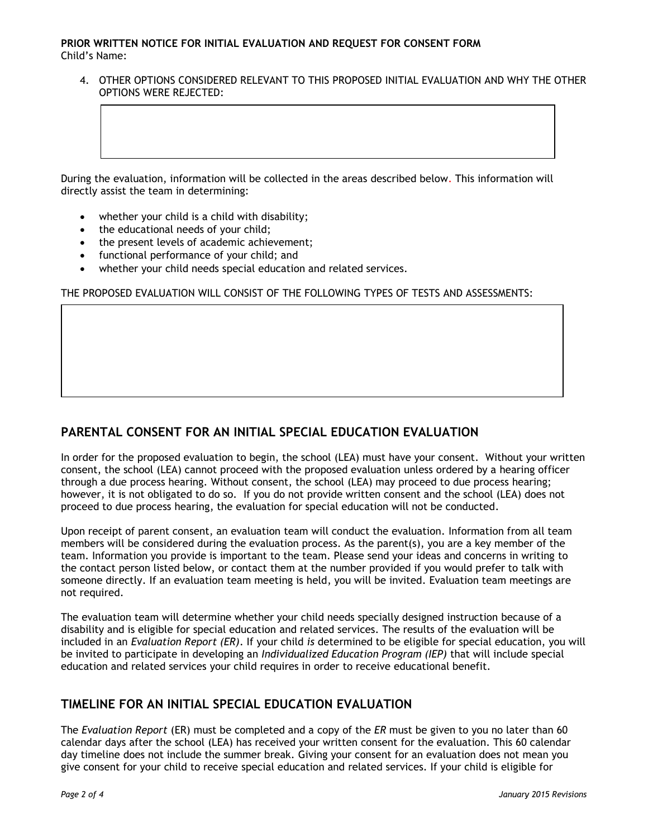### **PRIOR WRITTEN NOTICE FOR INITIAL EVALUATION AND REQUEST FOR CONSENT FORM** Child's Name:

4. OTHER OPTIONS CONSIDERED RELEVANT TO THIS PROPOSED INITIAL EVALUATION AND WHY THE OTHER OPTIONS WERE REJECTED:

During the evaluation, information will be collected in the areas described below. This information will directly assist the team in determining:

- whether your child is a child with disability;
- the educational needs of your child;
- the present levels of academic achievement;
- functional performance of your child; and
- whether your child needs special education and related services.

### THE PROPOSED EVALUATION WILL CONSIST OF THE FOLLOWING TYPES OF TESTS AND ASSESSMENTS:

# **PARENTAL CONSENT FOR AN INITIAL SPECIAL EDUCATION EVALUATION**

In order for the proposed evaluation to begin, the school (LEA) must have your consent. Without your written consent, the school (LEA) cannot proceed with the proposed evaluation unless ordered by a hearing officer through a due process hearing. Without consent, the school (LEA) may proceed to due process hearing; however, it is not obligated to do so. If you do not provide written consent and the school (LEA) does not proceed to due process hearing, the evaluation for special education will not be conducted.

Upon receipt of parent consent, an evaluation team will conduct the evaluation. Information from all team members will be considered during the evaluation process. As the parent(s), you are a key member of the team. Information you provide is important to the team. Please send your ideas and concerns in writing to the contact person listed below, or contact them at the number provided if you would prefer to talk with someone directly. If an evaluation team meeting is held, you will be invited. Evaluation team meetings are not required.

The evaluation team will determine whether your child needs specially designed instruction because of a disability and is eligible for special education and related services. The results of the evaluation will be included in an *Evaluation Report (ER)*. If your child *is* determined to be eligible for special education, you will be invited to participate in developing an *Individualized Education Program (IEP)* that will include special education and related services your child requires in order to receive educational benefit.

### **TIMELINE FOR AN INITIAL SPECIAL EDUCATION EVALUATION**

The *Evaluation Report* (ER) must be completed and a copy of the *ER* must be given to you no later than 60 calendar days after the school (LEA) has received your written consent for the evaluation. This 60 calendar day timeline does not include the summer break. Giving your consent for an evaluation does not mean you give consent for your child to receive special education and related services. If your child is eligible for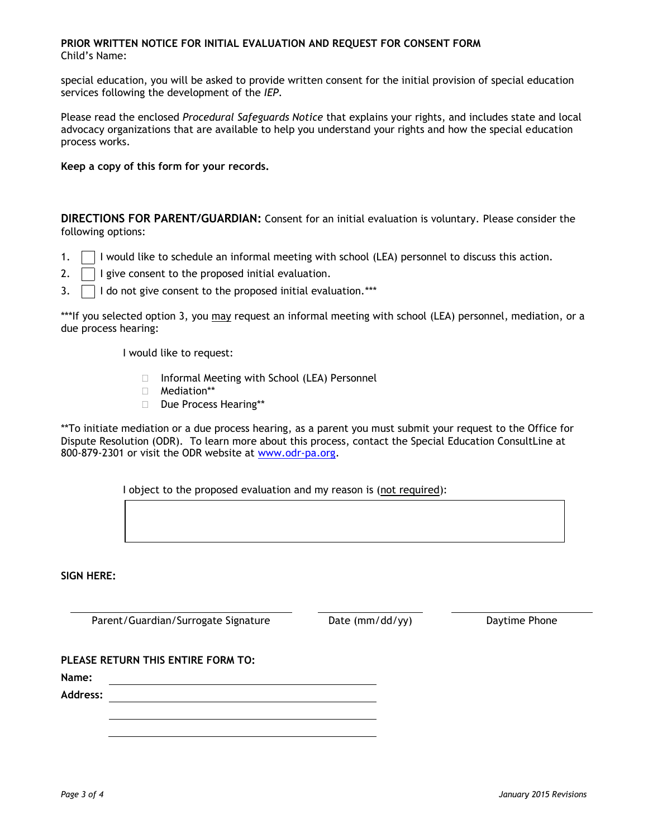#### **PRIOR WRITTEN NOTICE FOR INITIAL EVALUATION AND REQUEST FOR CONSENT FORM** Child's Name:

special education, you will be asked to provide written consent for the initial provision of special education services following the development of the *IEP*.

Please read the enclosed *Procedural Safeguards Notice* that explains your rights, and includes state and local advocacy organizations that are available to help you understand your rights and how the special education process works.

**Keep a copy of this form for your records.**

**DIRECTIONS FOR PARENT/GUARDIAN:** Consent for an initial evaluation is voluntary. Please consider the following options:

- 1.  $\Box$  I would like to schedule an informal meeting with school (LEA) personnel to discuss this action.
- 2.  $\Box$  I give consent to the proposed initial evaluation.
- 3.  $\Box$  I do not give consent to the proposed initial evaluation.<sup>\*\*\*</sup>

\*\*\*If you selected option 3, you may request an informal meeting with school (LEA) personnel, mediation, or a due process hearing:

I would like to request:

- □ Informal Meeting with School (LEA) Personnel
- Mediation\*\*
- Due Process Hearing\*\*

\*\*To initiate mediation or a due process hearing, as a parent you must submit your request to the Office for Dispute Resolution (ODR). To learn more about this process, contact the Special Education ConsultLine at 800-879-2301 or visit the ODR website at [www.odr-pa.org.](http://www.odr-pa.org/)

I object to the proposed evaluation and my reason is (not required):

**SIGN HERE:**

Parent/Guardian/Surrogate Signature Date (mm/dd/yy) Daytime Phone

**PLEASE RETURN THIS ENTIRE FORM TO:**

**Name:**

**Address:**